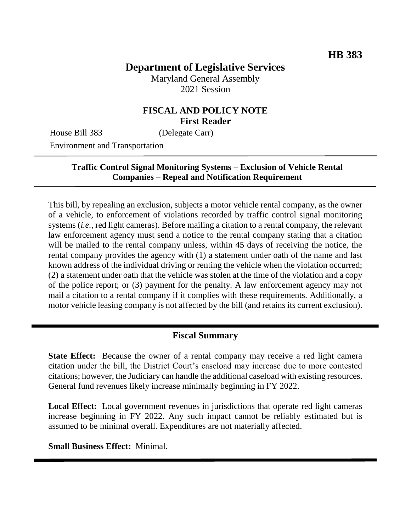# **Department of Legislative Services**

Maryland General Assembly 2021 Session

#### **FISCAL AND POLICY NOTE First Reader**

House Bill 383 (Delegate Carr)

Environment and Transportation

#### **Traffic Control Signal Monitoring Systems – Exclusion of Vehicle Rental Companies – Repeal and Notification Requirement**

This bill, by repealing an exclusion, subjects a motor vehicle rental company, as the owner of a vehicle, to enforcement of violations recorded by traffic control signal monitoring systems (*i.e.*, red light cameras). Before mailing a citation to a rental company, the relevant law enforcement agency must send a notice to the rental company stating that a citation will be mailed to the rental company unless, within 45 days of receiving the notice, the rental company provides the agency with (1) a statement under oath of the name and last known address of the individual driving or renting the vehicle when the violation occurred; (2) a statement under oath that the vehicle was stolen at the time of the violation and a copy of the police report; or (3) payment for the penalty. A law enforcement agency may not mail a citation to a rental company if it complies with these requirements. Additionally, a motor vehicle leasing company is not affected by the bill (and retains its current exclusion).

#### **Fiscal Summary**

**State Effect:** Because the owner of a rental company may receive a red light camera citation under the bill, the District Court's caseload may increase due to more contested citations; however, the Judiciary can handle the additional caseload with existing resources. General fund revenues likely increase minimally beginning in FY 2022.

**Local Effect:** Local government revenues in jurisdictions that operate red light cameras increase beginning in FY 2022. Any such impact cannot be reliably estimated but is assumed to be minimal overall. Expenditures are not materially affected.

**Small Business Effect:** Minimal.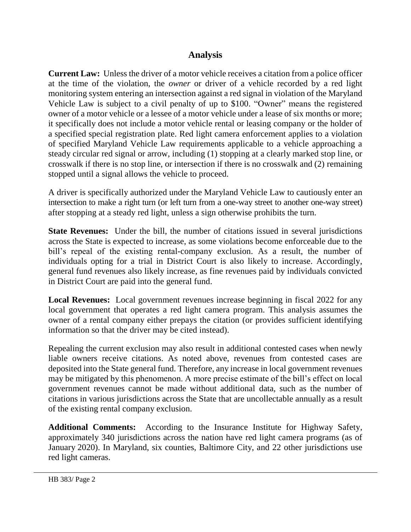## **Analysis**

**Current Law:** Unless the driver of a motor vehicle receives a citation from a police officer at the time of the violation, the *owner* or driver of a vehicle recorded by a red light monitoring system entering an intersection against a red signal in violation of the Maryland Vehicle Law is subject to a civil penalty of up to \$100. "Owner" means the registered owner of a motor vehicle or a lessee of a motor vehicle under a lease of six months or more; it specifically does not include a motor vehicle rental or leasing company or the holder of a specified special registration plate. Red light camera enforcement applies to a violation of specified Maryland Vehicle Law requirements applicable to a vehicle approaching a steady circular red signal or arrow, including (1) stopping at a clearly marked stop line, or crosswalk if there is no stop line, or intersection if there is no crosswalk and (2) remaining stopped until a signal allows the vehicle to proceed.

A driver is specifically authorized under the Maryland Vehicle Law to cautiously enter an intersection to make a right turn (or left turn from a one-way street to another one-way street) after stopping at a steady red light, unless a sign otherwise prohibits the turn.

**State Revenues:** Under the bill, the number of citations issued in several jurisdictions across the State is expected to increase, as some violations become enforceable due to the bill's repeal of the existing rental-company exclusion. As a result, the number of individuals opting for a trial in District Court is also likely to increase. Accordingly, general fund revenues also likely increase, as fine revenues paid by individuals convicted in District Court are paid into the general fund.

**Local Revenues:** Local government revenues increase beginning in fiscal 2022 for any local government that operates a red light camera program. This analysis assumes the owner of a rental company either prepays the citation (or provides sufficient identifying information so that the driver may be cited instead).

Repealing the current exclusion may also result in additional contested cases when newly liable owners receive citations. As noted above, revenues from contested cases are deposited into the State general fund. Therefore, any increase in local government revenues may be mitigated by this phenomenon. A more precise estimate of the bill's effect on local government revenues cannot be made without additional data, such as the number of citations in various jurisdictions across the State that are uncollectable annually as a result of the existing rental company exclusion.

**Additional Comments:** According to the Insurance Institute for Highway Safety, approximately 340 jurisdictions across the nation have red light camera programs (as of January 2020). In Maryland, six counties, Baltimore City, and 22 other jurisdictions use red light cameras.